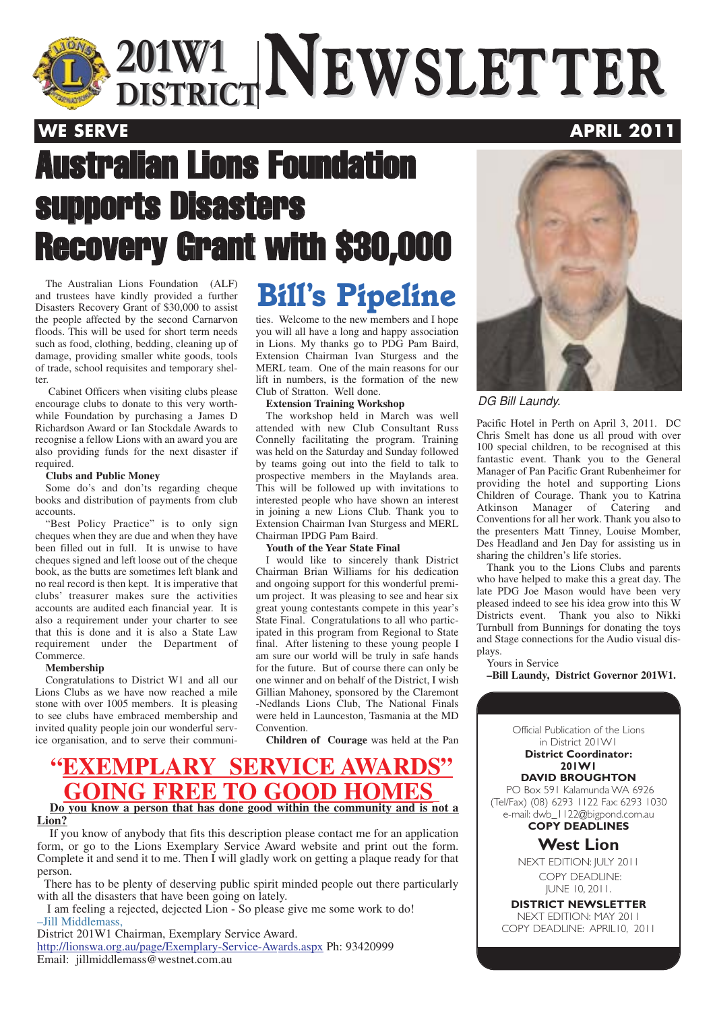

 $\frac{201 \text{W1}}{\text{DISTRICT}}$ **NEWSLETTER 201W1 DISTRICTNEWSLETTER**

### **WE SERVE APRIL 2011**

# Australian Lions Foundation supports Disasters Recovery Grant with \$30,000

The Australian Lions Foundation (ALF)<br>Ind trustees have kindly provided a further **Bill's Pipeline** and trustees have kindly provided a further Disasters Recovery Grant of \$30,000 to assist the people affected by the second Carnarvon floods. This will be used for short term needs such as food, clothing, bedding, cleaning up of damage, providing smaller white goods, tools of trade, school requisites and temporary shelter.

Cabinet Officers when visiting clubs please encourage clubs to donate to this very worthwhile Foundation by purchasing a James D Richardson Award or Ian Stockdale Awards to recognise a fellow Lions with an award you are also providing funds for the next disaster if required.

#### **Clubs and Public Money**

Some do's and don'ts regarding cheque books and distribution of payments from club accounts.

"Best Policy Practice" is to only sign cheques when they are due and when they have been filled out in full. It is unwise to have cheques signed and left loose out of the cheque book, as the butts are sometimes left blank and no real record is then kept. It is imperative that clubs' treasurer makes sure the activities accounts are audited each financial year. It is also a requirement under your charter to see that this is done and it is also a State Law requirement under the Department of Commerce.

#### **Membership**

Congratulations to District W1 and all our Lions Clubs as we have now reached a mile stone with over 1005 members. It is pleasing to see clubs have embraced membership and invited quality people join our wonderful service organisation, and to serve their communi-

ties. Welcome to the new members and I hope you will all have a long and happy association in Lions. My thanks go to PDG Pam Baird, Extension Chairman Ivan Sturgess and the MERL team. One of the main reasons for our lift in numbers, is the formation of the new Club of Stratton. Well done.

### **Extension Training Workshop**

The workshop held in March was well attended with new Club Consultant Russ Connelly facilitating the program. Training was held on the Saturday and Sunday followed by teams going out into the field to talk to prospective members in the Maylands area. This will be followed up with invitations to interested people who have shown an interest in joining a new Lions Club. Thank you to Extension Chairman Ivan Sturgess and MERL Chairman IPDG Pam Baird.

#### **Youth of the Year State Final**

I would like to sincerely thank District Chairman Brian Williams for his dedication and ongoing support for this wonderful premium project. It was pleasing to see and hear six great young contestants compete in this year's State Final. Congratulations to all who participated in this program from Regional to State final. After listening to these young people I am sure our world will be truly in safe hands for the future. But of course there can only be one winner and on behalf of the District, I wish Gillian Mahoney, sponsored by the Claremont -Nedlands Lions Club, The National Finals were held in Launceston, Tasmania at the MD Convention.

**Children of Courage** was held at the Pan

### **"EXEMPLARY SERVICE AWARDS" GOING FREE TO GOOD HO Do you know a person that has done good within the community and is not a Lion?**

If you know of anybody that fits this description please contact me for an application form, or go to the Lions Exemplary Service Award website and print out the form. Complete it and send it to me. Then I will gladly work on getting a plaque ready for that person.

There has to be plenty of deserving public spirit minded people out there particularly with all the disasters that have been going on lately.

I am feeling a rejected, dejected Lion - So please give me some work to do! –Jill Middlemass,

District 201W1 Chairman, Exemplary Service Award. http://lionswa.org.au/page/Exemplary-Service-Awards.aspx Ph: 93420999 Email: jillmiddlemass@westnet.com.au



### DG Bill Laundy.

Pacific Hotel in Perth on April 3, 2011. DC Chris Smelt has done us all proud with over 100 special children, to be recognised at this fantastic event. Thank you to the General Manager of Pan Pacific Grant Rubenheimer for providing the hotel and supporting Lions Children of Courage. Thank you to Katrina Atkinson Manager of Catering Conventions for all her work. Thank you also to the presenters Matt Tinney, Louise Momber, Des Headland and Jen Day for assisting us in sharing the children's life stories.

Thank you to the Lions Clubs and parents who have helped to make this a great day. The late PDG Joe Mason would have been very pleased indeed to see his idea grow into this W Districts event. Thank you also to Nikki Turnbull from Bunnings for donating the toys and Stage connections for the Audio visual displays.

Yours in Service

**–Bill Laundy, District Governor 201W1.**

Official Publication of the Lions in District 201W1 **District Coordinator: 201W1 DAVID BROUGHTON** PO Box 591 Kalamunda WA 6926 (Tel/Fax) (08) 6293 1122 Fax: 6293 1030 e-mail: dwb\_1122@bigpond.com.au **COPY DEADLINES West Lion** NEXT EDITION: JULY 2011 COPY DEADLINE: JUNE 10, 2011.

**DISTRICT NEWSLETTER** NEXT EDITION: MAY 2011 COPY DEADLINE: APRIL10, 2011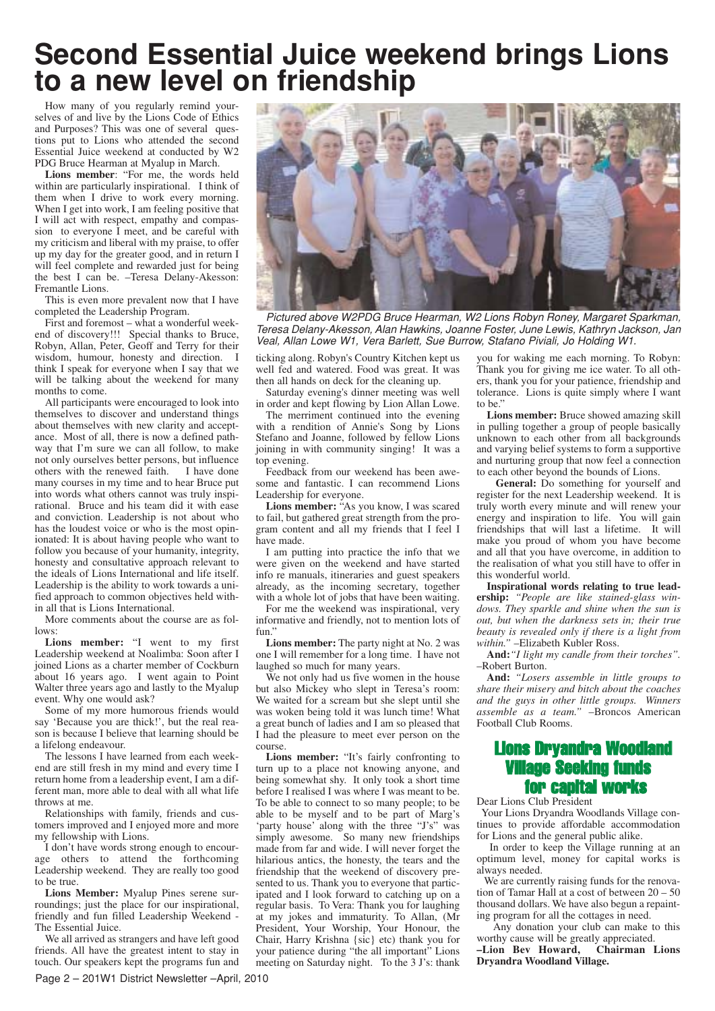### **Second Essential Juice weekend brings Lions to a new level on friendship**

How many of you regularly remind yourselves of and live by the Lions Code of Ethics and Purposes? This was one of several questions put to Lions who attended the second Essential Juice weekend at conducted by W2 PDG Bruce Hearman at Myalup in March.

**Lions member**: "For me, the words held within are particularly inspirational. I think of them when I drive to work every morning. When I get into work, I am feeling positive that I will act with respect, empathy and compassion to everyone I meet, and be careful with my criticism and liberal with my praise, to offer up my day for the greater good, and in return I will feel complete and rewarded just for being the best I can be. –Teresa Delany-Akesson: Fremantle Lions.

This is even more prevalent now that I have completed the Leadership Program.

First and foremost – what a wonderful weekend of discovery!!! Special thanks to Bruce, Robyn, Allan, Peter, Geoff and Terry for their wisdom, humour, honesty and direction. I think I speak for everyone when I say that we will be talking about the weekend for many months to come.

All participants were encouraged to look into themselves to discover and understand things about themselves with new clarity and acceptance. Most of all, there is now a defined pathway that I'm sure we can all follow, to make not only ourselves better persons, but influence others with the renewed faith. I have done many courses in my time and to hear Bruce put into words what others cannot was truly inspirational. Bruce and his team did it with ease and conviction. Leadership is not about who has the loudest voice or who is the most opinionated: It is about having people who want to follow you because of your humanity, integrity, honesty and consultative approach relevant to the ideals of Lions International and life itself. Leadership is the ability to work towards a unified approach to common objectives held within all that is Lions International.

More comments about the course are as follows:

**Lions member:** "I went to my first Leadership weekend at Noalimba: Soon after I joined Lions as a charter member of Cockburn about 16 years ago. I went again to Point Walter three years ago and lastly to the Myalup event. Why one would ask?

Some of my more humorous friends would say 'Because you are thick!', but the real reason is because I believe that learning should be a lifelong endeavour.

The lessons I have learned from each weekend are still fresh in my mind and every time I return home from a leadership event, I am a different man, more able to deal with all what life throws at me.

Relationships with family, friends and customers improved and I enjoyed more and more my fellowship with Lions.

I don't have words strong enough to encourage others to attend the forthcoming Leadership weekend. They are really too good to be true.

**Lions Member:** Myalup Pines serene surroundings; just the place for our inspirational, friendly and fun filled Leadership Weekend - The Essential Juice.

We all arrived as strangers and have left good friends. All have the greatest intent to stay in touch. Our speakers kept the programs fun and



Pictured above W2PDG Bruce Hearman, W2 Lions Robyn Roney, Margaret Sparkman, Teresa Delany-Akesson, Alan Hawkins, Joanne Foster, June Lewis, Kathryn Jackson, Jan Veal, Allan Lowe W1, Vera Barlett, Sue Burrow, Stafano Piviali, Jo Holding W1.

ticking along. Robyn's Country Kitchen kept us well fed and watered. Food was great. It was then all hands on deck for the cleaning up.

Saturday evening's dinner meeting was well in order and kept flowing by Lion Allan Lowe.

The merriment continued into the evening with a rendition of Annie's Song by Lions Stefano and Joanne, followed by fellow Lions joining in with community singing! It was a top evening.

Feedback from our weekend has been awesome and fantastic. I can recommend Lions Leadership for everyone.

**Lions member:** "As you know, I was scared to fail, but gathered great strength from the program content and all my friends that I feel I have made.

I am putting into practice the info that we were given on the weekend and have started info re manuals, itineraries and guest speakers already, as the incoming secretary, together with a whole lot of jobs that have been waiting.

For me the weekend was inspirational, very informative and friendly, not to mention lots of fun."

**Lions member:** The party night at No. 2 was one I will remember for a long time. I have not laughed so much for many years.

We not only had us five women in the house but also Mickey who slept in Teresa's room: We waited for a scream but she slept until she was woken being told it was lunch time! What a great bunch of ladies and I am so pleased that I had the pleasure to meet ever person on the course.

**Lions member:** "It's fairly confronting to turn up to a place not knowing anyone, and being somewhat shy. It only took a short time before I realised I was where I was meant to be. To be able to connect to so many people; to be able to be myself and to be part of Marg's 'party house' along with the three "J's" was simply awesome. So many new friendships made from far and wide. I will never forget the hilarious antics, the honesty, the tears and the friendship that the weekend of discovery presented to us. Thank you to everyone that participated and I look forward to catching up on a regular basis. To Vera: Thank you for laughing at my jokes and immaturity. To Allan, (Mr President, Your Worship, Your Honour, the Chair, Harry Krishna {sic} etc) thank you for your patience during "the all important" Lions meeting on Saturday night. To the 3 J's: thank

you for waking me each morning. To Robyn: Thank you for giving me ice water. To all others, thank you for your patience, friendship and tolerance. Lions is quite simply where I want to be.'

**Lions member:** Bruce showed amazing skill in pulling together a group of people basically unknown to each other from all backgrounds and varying belief systems to form a supportive and nurturing group that now feel a connection to each other beyond the bounds of Lions.

**General:** Do something for yourself and register for the next Leadership weekend. It is truly worth every minute and will renew your energy and inspiration to life. You will gain friendships that will last a lifetime. It will make you proud of whom you have become and all that you have overcome, in addition to the realisation of what you still have to offer in this wonderful world.

**Inspirational words relating to true leadership:** *"People are like stained-glass windows. They sparkle and shine when the sun is out, but when the darkness sets in; their true beauty is revealed only if there is a light from within."* –Elizabeth Kubler Ross.

**And:***"I light my candle from their torches".* –Robert Burton.

**And:** *"Losers assemble in little groups to share their misery and bitch about the coaches and the guys in other little groups. Winners assemble as a team." –*Broncos American Football Club Rooms.

### Lions Dryandra Woodland Village Seeking fu for ca

Dear Lions Club President

Your Lions Dryandra Woodlands Village continues to provide affordable accommodation for Lions and the general public alike.

In order to keep the Village running at an optimum level, money for capital works is always needed.

We are currently raising funds for the renovation of Tamar Hall at a cost of between 20 – 50 thousand dollars. We have also begun a repainting program for all the cottages in need.

Any donation your club can make to this worthy cause will be greatly appreciated.<br>
-Lion Bev Howard, Chairman Lions

*–Lion Bev Howard,* **Dryandra Woodland Village.**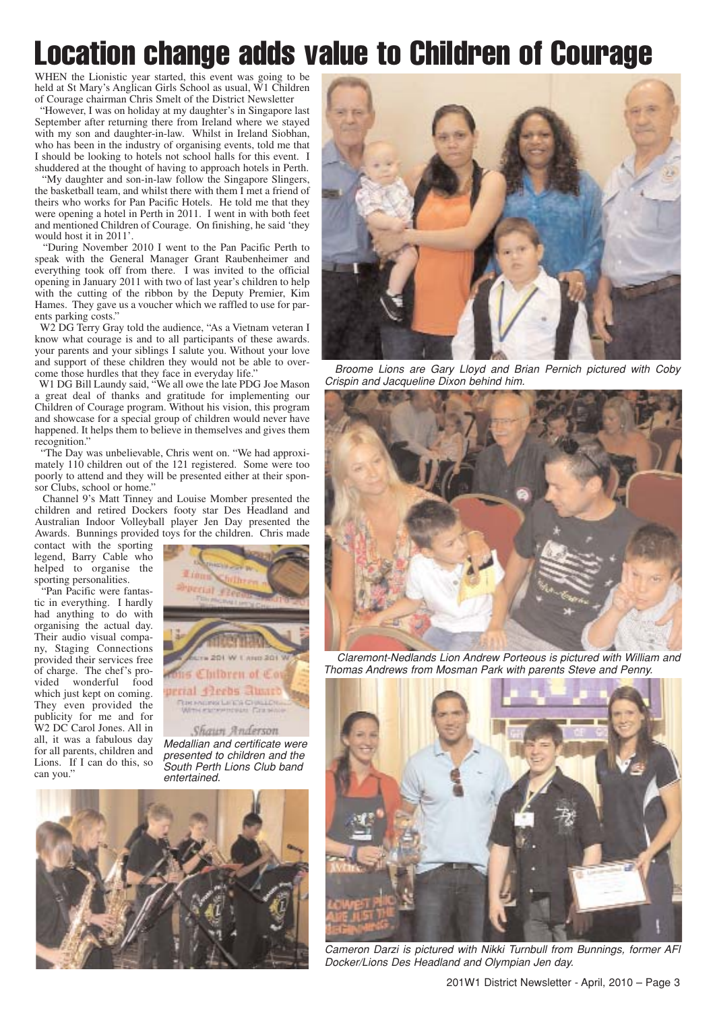## Location change adds value to Children of Courage

WHEN the Lionistic year started, this event was going to be held at St Mary's Anglican Girls School as usual, W1 Children of Courage chairman Chris Smelt of the District Newsletter

"However, I was on holiday at my daughter's in Singapore last September after returning there from Ireland where we stayed with my son and daughter-in-law. Whilst in Ireland Siobhan, who has been in the industry of organising events, told me that I should be looking to hotels not school halls for this event. I shuddered at the thought of having to approach hotels in Perth.

"My daughter and son-in-law follow the Singapore Slingers, the basketball team, and whilst there with them I met a friend of theirs who works for Pan Pacific Hotels. He told me that they were opening a hotel in Perth in 2011. I went in with both feet and mentioned Children of Courage. On finishing, he said 'they would host it in 2011'.

"During November 2010 I went to the Pan Pacific Perth to speak with the General Manager Grant Raubenheimer and everything took off from there. I was invited to the official opening in January 2011 with two of last year's children to help with the cutting of the ribbon by the Deputy Premier, Kim Hames. They gave us a voucher which we raffled to use for parents parking costs."

W2 DG Terry Gray told the audience, "As a Vietnam veteran I know what courage is and to all participants of these awards. your parents and your siblings I salute you. Without your love and support of these children they would not be able to overcome those hurdles that they face in everyday life."

W1 DG Bill Laundy said, "We all owe the late PDG Joe Mason a great deal of thanks and gratitude for implementing our Children of Courage program. Without his vision, this program and showcase for a special group of children would never have happened. It helps them to believe in themselves and gives them recognition."

"The Day was unbelievable, Chris went on. "We had approximately 110 children out of the 121 registered. Some were too poorly to attend and they will be presented either at their sponsor Clubs, school or home."

Channel 9's Matt Tinney and Louise Momber presented the children and retired Dockers footy star Des Headland and Australian Indoor Volleyball player Jen Day presented the Awards. Bunnings provided toys for the children. Chris made

contact with the sporting legend, Barry Cable who helped to organise the sporting personalities.

"Pan Pacific were fantastic in everything. I hardly had anything to do with organising the actual day. Their audio visual company, Staging Connections provided their services free of charge. The chef's provided wonderful food which just kept on coming. They even provided the publicity for me and for W2 DC Carol Jones. All in all, it was a fabulous day for all parents, children and Lions. If I can do this, so can you.'

Children of Co perial 42eebs alum **UR PAGES LET'S C** 

Shawn Anderson Medallian and certificate were presented to children and the South Perth Lions Club band entertained.





Broome Lions are Gary Lloyd and Brian Pernich pictured with Coby Crispin and Jacqueline Dixon behind him.



Claremont-Nedlands Lion Andrew Porteous is pictured with William and Thomas Andrews from Mosman Park with parents Steve and Penny.



Cameron Darzi is pictured with Nikki Turnbull from Bunnings, former AFl Docker/Lions Des Headland and Olympian Jen day.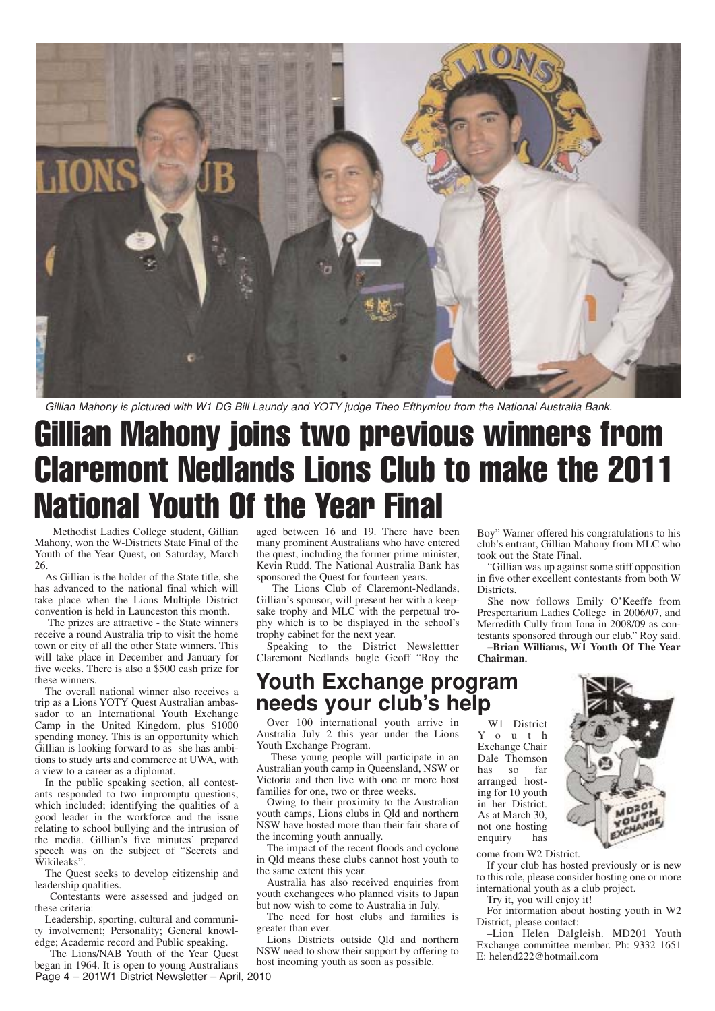

Gillian Mahony is pictured with W1 DG Bill Laundy and YOTY judge Theo Efthymiou from the National Australia Bank.

### Gillian Mahony joins two previous winners from Claremont Nedlands Lions Club to make the 2011 National Youth Of the Year Final

Methodist Ladies College student, Gillian Mahony, won the W-Districts State Final of the Youth of the Year Quest, on Saturday, March 26.

As Gillian is the holder of the State title, she has advanced to the national final which will take place when the Lions Multiple District convention is held in Launceston this month.

The prizes are attractive - the State winners receive a round Australia trip to visit the home town or city of all the other State winners. This will take place in December and January for five weeks. There is also a \$500 cash prize for these winners.

The overall national winner also receives a trip as a Lions YOTY Quest Australian ambassador to an International Youth Exchange Camp in the United Kingdom, plus \$1000 spending money. This is an opportunity which Gillian is looking forward to as she has ambitions to study arts and commerce at UWA, with a view to a career as a diplomat.

In the public speaking section, all contestants responded to two impromptu questions, which included; identifying the qualities of a good leader in the workforce and the issue relating to school bullying and the intrusion of the media. Gillian's five minutes' prepared speech was on the subject of "Secrets and Wikileaks".

The Quest seeks to develop citizenship and leadership qualities.

Contestants were assessed and judged on these criteria:

Leadership, sporting, cultural and community involvement; Personality; General knowledge; Academic record and Public speaking.

Page 4 – 201W1 District Newsletter – April, 2010 The Lions/NAB Youth of the Year Quest began in 1964. It is open to young Australians

aged between 16 and 19. There have been many prominent Australians who have entered the quest, including the former prime minister, Kevin Rudd. The National Australia Bank has sponsored the Quest for fourteen years.

The Lions Club of Claremont-Nedlands, Gillian's sponsor, will present her with a keepsake trophy and MLC with the perpetual trophy which is to be displayed in the school's trophy cabinet for the next year.

Speaking to the District Newslettter Claremont Nedlands bugle Geoff "Roy the

### **Youth Exchange program needs your club's help**

Over 100 international youth arrive in Australia July 2 this year under the Lions Youth Exchange Program.

These young people will participate in an Australian youth camp in Queensland, NSW or Victoria and then live with one or more host families for one, two or three weeks.

Owing to their proximity to the Australian youth camps, Lions clubs in Qld and northern NSW have hosted more than their fair share of the incoming youth annually.

The impact of the recent floods and cyclone in Qld means these clubs cannot host youth to the same extent this year.

Australia has also received enquiries from youth exchangees who planned visits to Japan but now wish to come to Australia in July.

The need for host clubs and families is greater than ever.

Lions Districts outside Qld and northern NSW need to show their support by offering to host incoming youth as soon as possible.

Boy" Warner offered his congratulations to his club's entrant, Gillian Mahony from MLC who took out the State Final.

"Gillian was up against some stiff opposition in five other excellent contestants from both W **Districts** 

She now follows Emily O'Keeffe from Prespertarium Ladies College in 2006/07, and Merredith Cully from Iona in 2008/09 as contestants sponsored through our club." Roy said.

**–Brian Williams, W1 Youth Of The Year Chairman.**

W1 District Y o u t h Exchange Chair Dale Thomson<br>has so far has so arranged hosting for 10 youth in her District. As at March 30, not one hosting enquiry has



come from W2 District.

If your club has hosted previously or is new to this role, please consider hosting one or more international youth as a club project.

Try it, you will enjoy it!

For information about hosting youth in W2 District, please contact:

–Lion Helen Dalgleish. MD201 Youth Exchange committee member. Ph: 9332 1651 E: helend222@hotmail.com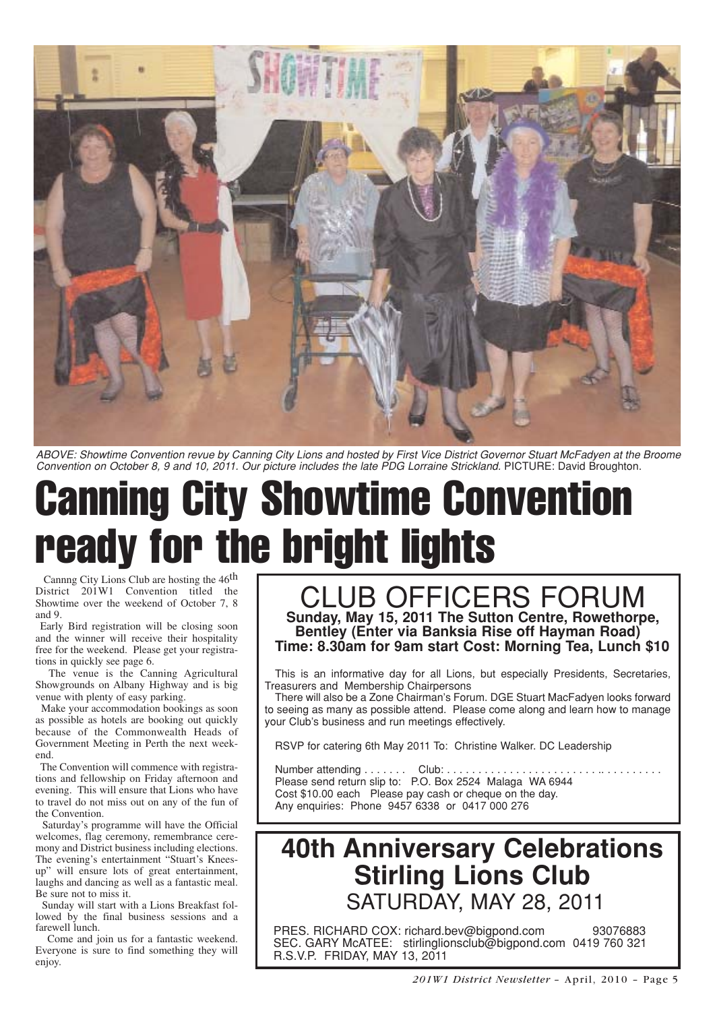

ABOVE: Showtime Convention revue by Canning City Lions and hosted by First Vice District Governor Stuart McFadyen at the Broome Convention on October 8, 9 and 10, 2011. Our picture includes the late PDG Lorraine Strickland. PICTURE: David Broughton.

# Canning City Showtime Convention ready for the bright lights

Cannng City Lions Club are hosting the  $46<sup>th</sup>$ District 201W1 Convention titled the Showtime over the weekend of October 7, 8 and 9.

Early Bird registration will be closing soon and the winner will receive their hospitality free for the weekend. Please get your registrations in quickly see page 6.

The venue is the Canning Agricultural Showgrounds on Albany Highway and is big venue with plenty of easy parking.

Make your accommodation bookings as soon as possible as hotels are booking out quickly because of the Commonwealth Heads of Government Meeting in Perth the next weekend.

The Convention will commence with registrations and fellowship on Friday afternoon and evening. This will ensure that Lions who have to travel do not miss out on any of the fun of the Convention.

Saturday's programme will have the Official welcomes, flag ceremony, remembrance ceremony and District business including elections. The evening's entertainment "Stuart's Kneesup" will ensure lots of great entertainment, laughs and dancing as well as a fantastic meal. Be sure not to miss it.

Sunday will start with a Lions Breakfast followed by the final business sessions and a farewell lunch.

Come and join us for a fantastic weekend. Everyone is sure to find something they will enjoy.

### CLUB OFFICERS FORUM **Sunday, May 15, 2011 The Sutton Centre, Rowethorpe, Bentley (Enter via Banksia Rise off Hayman Road) Time: 8.30am for 9am start Cost: Morning Tea, Lunch \$10**

This is an informative day for all Lions, but especially Presidents, Secretaries, Treasurers and Membership Chairpersons

There will also be a Zone Chairman's Forum. DGE Stuart MacFadyen looks forward to seeing as many as possible attend. Please come along and learn how to manage your Club's business and run meetings effectively.

RSVP for catering 6th May 2011 To: Christine Walker. DC Leadership

Number attending . . . . . . . Club: . . . . . . . Please send return slip to: P.O. Box 2524 Malaga WA 6944 Cost \$10.00 each Please pay cash or cheque on the day. Any enquiries: Phone 9457 6338 or 0417 000 276

### **40th Anniversary Celebrations Stirling Lions Club** SATURDAY, MAY 28, 2011

PRES. RICHARD COX: richard.bev@bigpond.com 93076883 SEC. GARY McATEE: stirlinglionsclub@bigpond.com 0419 760 321 R.S.V.P. FRIDAY, MAY 13, 2011